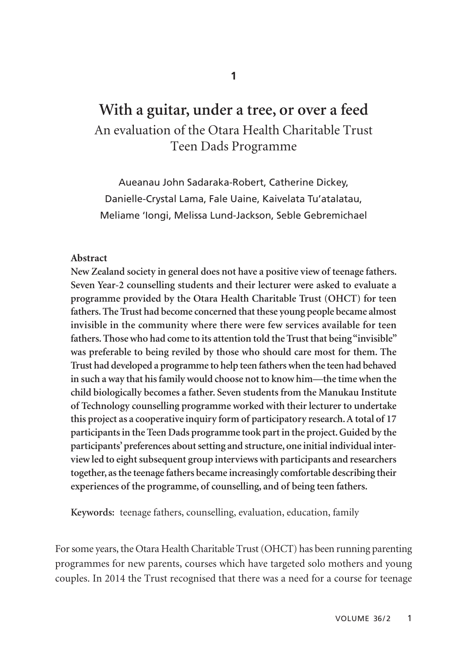# **With a guitar, under a tree, or over a feed** An evaluation of the Otara Health Charitable Trust Teen Dads Programme

Aueanau John Sadaraka-Robert, Catherine Dickey, Danielle-Crystal Lama, Fale Uaine, Kaivelata Tu'atalatau, Meliame 'Iongi, Melissa Lund-Jackson, Seble Gebremichael

#### **Abstract**

**New Zealand society in general does not have a positive view of teenage fathers. Seven Year-2 counselling students and their lecturer were asked to evaluate a programme provided by the Otara Health Charitable Trust (OHCT) for teen fathers. The Trust had become concerned that these young people became almost invisible in the community where there were few services available for teen fathers. Those who had come to its attention told the Trust that being "invisible" was preferable to being reviled by those who should care most for them. The Trust had developed a programme to help teen fathers when the teen had behaved in such a way that his family would choose not to know him—the time when the child biologically becomes a father. Seven students from the Manukau Institute of Technology counselling programme worked with their lecturer to undertake this project as a cooperative inquiry form of participatory research. A total of 17 participants in the Teen Dads programme took part in the project. Guided by the participants' preferences about setting and structure, one initial individual interview led to eight subsequent group interviews with participants and researchers together, as the teenage fathers became increasingly comfortable describing their experiences of the programme, of counselling, and of being teen fathers.** 

**Keywords:** teenage fathers, counselling, evaluation, education, family

For some years, the Otara Health Charitable Trust (OHCT) has been running parenting programmes for new parents, courses which have targeted solo mothers and young couples. In 2014 the Trust recognised that there was a need for a course for teenage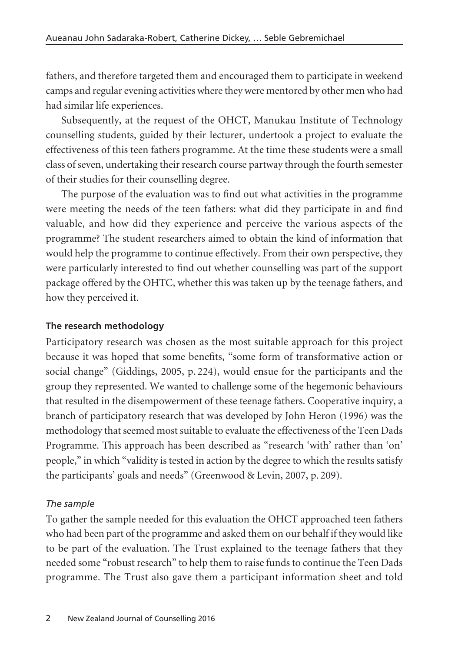fathers, and therefore targeted them and encouraged them to participate in weekend camps and regular evening activities where they were mentored by other men who had had similar life experiences.

Subsequently, at the request of the OHCT, Manukau Institute of Technology coun selling students, guided by their lecturer, undertook a project to evaluate the effective ness of this teen fathers programme. At the time these students were a small class of seven, undertaking their research course partway through the fourth semester of their studies for their counselling degree.

The purpose of the evaluation was to find out what activities in the programme were meeting the needs of the teen fathers: what did they participate in and find valuable, and how did they experience and perceive the various aspects of the programme? The student researchers aimed to obtain the kind of information that would help the programme to continue effectively. From their own perspective, they were particularly interested to find out whether counselling was part of the support package offered by the OHTC, whether this was taken up by the teenage fathers, and how they perceived it.

### **The research methodology**

Participatory research was chosen as the most suitable approach for this project because it was hoped that some benefits, "some form of transformative action or social change" (Giddings, 2005, p. 224), would ensue for the participants and the group they represented. We wanted to challenge some of the hegemonic behaviours that resulted in the disempowerment of these teenage fathers. Cooperative inquiry, a branch of participatory research that was developed by John Heron (1996) was the methodology that seemed most suitable to evaluate the effectiveness of the Teen Dads Programme. This approach has been described as "research 'with' rather than 'on' people," in which "validity is tested in action by the degree to which the results satisfy the participants' goals and needs" (Greenwood & Levin, 2007, p. 209).

### *The sample*

To gather the sample needed for this evaluation the OHCT approached teen fathers who had been part of the programme and asked them on our behalf if they would like to be part of the evaluation. The Trust explained to the teenage fathers that they needed some "robust research" to help them to raise funds to continue the Teen Dads programme. The Trust also gave them a participant information sheet and told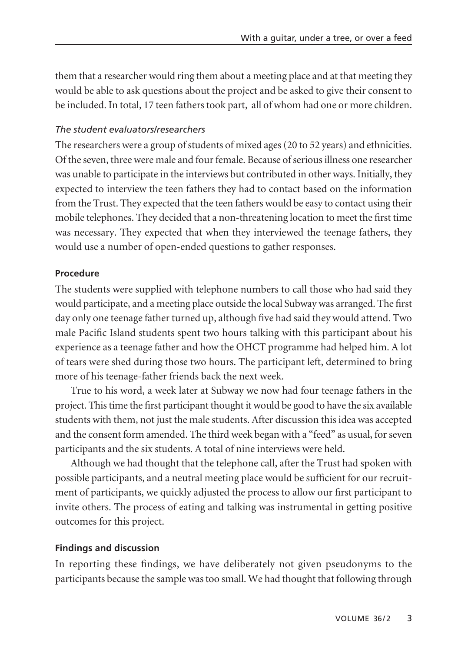them that a researcher would ring them about a meeting place and at that meeting they would be able to ask questions about the project and be asked to give their consent to be included. In total, 17 teen fathers took part, all of whom had one or more children.

### *The student evaluators/researchers*

The researchers were a group of students of mixed ages (20 to 52 years) and ethnicities. Of the seven, three were male and four female. Because of serious illness one researcher was unable to participate in the interviews but contributed in other ways. Initially, they expected to interview the teen fathers they had to contact based on the information from the Trust. They expected that the teen fathers would be easy to contact using their mobile telephones. They decided that a non-threatening location to meet the first time was necessary. They expected that when they interviewed the teenage fathers, they would use a number of open-ended questions to gather responses.

#### **Procedure**

The students were supplied with telephone numbers to call those who had said they would participate, and a meeting place outside the local Subway was arranged. The first day only one teenage father turned up, although five had said they would attend. Two male Pacific Island students spent two hours talking with this participant about his experience as a teenage father and how the OHCT programme had helped him. A lot of tears were shed during those two hours. The participant left, determined to bring more of his teenage-father friends back the next week.

True to his word, a week later at Subway we now had four teenage fathers in the project. This time the first participant thought it would be good to have the six available students with them, not just the male students. After discussion this idea was accepted and the consent form amended. The third week began with a "feed" as usual, for seven participants and the six students. A total of nine interviews were held.

Although we had thought that the telephone call, after the Trust had spoken with possible participants, and a neutral meeting place would be sufficient for our recruit ment of participants, we quickly adjusted the process to allow our first participant to invite others. The process of eating and talking was instrumental in getting positive outcomes for this project.

#### **Findings and discussion**

In reporting these findings, we have deliberately not given pseudonyms to the participants because the sample was too small. We had thought that following through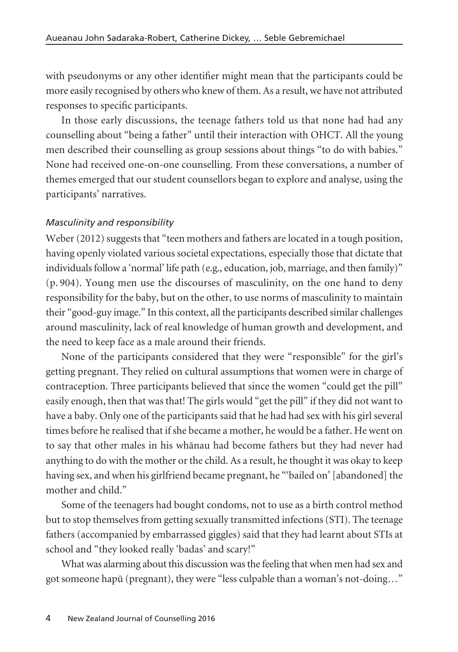with pseudonyms or any other identifier might mean that the participants could be more easily recognised by others who knew of them. As a result, we have not attributed responses to specific participants.

In those early discussions, the teenage fathers told us that none had had any counselling about "being a father" until their interaction with OHCT. All the young men described their counselling as group sessions about things "to do with babies." None had received one-on-one counselling. From these conversations, a number of themes emerged that our student counsellors began to explore and analyse, using the participants' narratives.

### *Masculinity and responsibility*

Weber (2012) suggests that "teen mothers and fathers are located in a tough position, having openly violated various societal expectations, especially those that dictate that individuals follow a 'normal' life path (e.g., education, job, marriage, and then family)" (p. 904). Young men use the discourses of masculinity, on the one hand to deny responsibility for the baby, but on the other, to use norms of masculinity to maintain their "good-guy image." In this context, all the participants described similar challenges around masculinity, lack of real knowledge of human growth and development, and the need to keep face as a male around their friends.

None of the participants considered that they were "responsible" for the girl's getting pregnant. They relied on cultural assumptions that women were in charge of contraception. Three participants believed that since the women "could get the pill" easily enough, then that was that! The girls would "get the pill" if they did not want to have a baby. Only one of the participants said that he had had sex with his girl several times before he realised that if she became a mother, he would be a father. He went on to say that other males in his whänau had become fathers but they had never had anything to do with the mother or the child. As a result, he thought it was okay to keep having sex, and when his girlfriend became pregnant, he "'bailed on' [abandoned] the mother and child."

Some of the teenagers had bought condoms, not to use as a birth control method but to stop themselves from getting sexually transmitted infections (STI). The teenage fathers (accompanied by embarrassed giggles) said that they had learnt about STIs at school and "they looked really 'badas' and scary!"

What was alarming about this discussion was the feeling that when men had sex and got someone hapü (pregnant), they were "less culpable than a woman's not-doing*…*"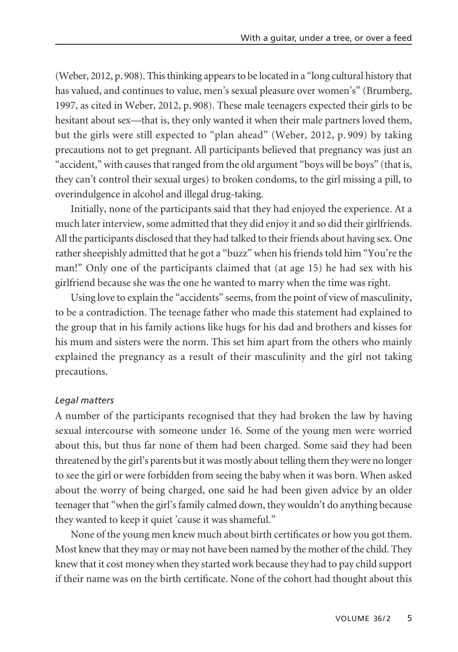(Weber, 2012, p. 908). This thinking appears to be located in a "long cultural history that has valued, and continues to value, men's sexual pleasure over women's" (Brumberg, 1997, as cited in Weber, 2012, p. 908). These male teenagers expected their girls to be hesitant about sex—that is, they only wanted it when their male partners loved them, but the girls were still expected to "plan ahead" (Weber, 2012, p. 909) by taking precautions not to get pregnant. All participants believed that pregnancy was just an "accident," with causes that ranged from the old argument "boys will be boys" (that is, they can't control their sexual urges) to broken condoms, to the girl missing a pill, to overindulgence in alcohol and illegal drug-taking.

Initially, none of the participants said that they had enjoyed the experience. At a much later interview, some admitted that they did enjoy it and so did their girlfriends. All the participants disclosed that they had talked to their friends about having sex. One rather sheepishly admitted that he got a "buzz" when his friends told him "You're the man!" Only one of the participants claimed that (at age 15) he had sex with his girlfriend because she was the one he wanted to marry when the time was right.

Using love to explain the "accidents" seems, from the point of view of masculinity, to be a contradiction. The teenage father who made this statement had explained to the group that in his family actions like hugs for his dad and brothers and kisses for his mum and sisters were the norm. This set him apart from the others who mainly explained the pregnancy as a result of their masculinity and the girl not taking precautions.

#### *Legal matters*

A number of the participants recognised that they had broken the law by having sexual intercourse with someone under 16. Some of the young men were worried about this, but thus far none of them had been charged. Some said they had been threatened by the girl's parents but it was mostly about telling them they were no longer to see the girl or were forbidden from seeing the baby when it was born. When asked about the worry of being charged, one said he had been given advice by an older teenager that "when the girl's family calmed down, they wouldn't do anything because they wanted to keep it quiet 'cause it was shameful."

None of the young men knew much about birth certificates or how you got them. Most knew that they may or may not have been named by the mother of the child. They knew that it cost money when they started work because they had to pay child support if their name was on the birth certificate. None of the cohort had thought about this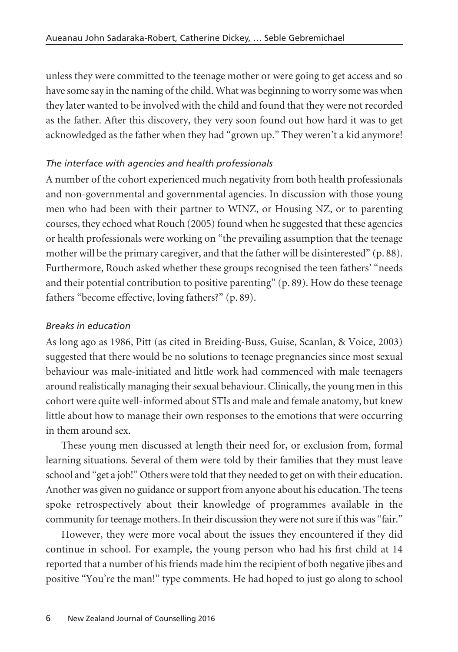unless they were committed to the teenage mother or were going to get access and so have some say in the naming of the child. What was beginning to worry some was when they later wanted to be involved with the child and found that they were not recorded as the father. After this discovery, they very soon found out how hard it was to get acknowledged as the father when they had "grown up." They weren't a kid anymore!

### *The interface with agencies and health professionals*

A number of the cohort experienced much negativity from both health professionals and non-governmental and governmental agencies. In discussion with those young men who had been with their partner to WINZ, or Housing NZ, or to parenting courses, they echoed what Rouch (2005) found when he suggested that these agencies or health professionals were working on "the prevailing assumption that the teenage mother will be the primary caregiver, and that the father will be disinterested" (p. 88). Furthermore, Rouch asked whether these groups recognised the teen fathers' "needs and their potential contribution to positive parenting" (p. 89). How do these teenage fathers "become effective, loving fathers?" (p. 89).

### *Breaks in education*

As long ago as 1986, Pitt (as cited in Breiding-Buss, Guise, Scanlan, & Voice, 2003) suggested that there would be no solutions to teenage pregnancies since most sexual behaviour was male-initiated and little work had commenced with male teenagers around realistically managing their sexual behaviour. Clinically, the young men in this cohort were quite well-informed about STIs and male and female anatomy, but knew little about how to manage their own responses to the emotions that were occurring in them around sex.

These young men discussed at length their need for, or exclusion from, formal learning situations. Several of them were told by their families that they must leave school and "get a job!" Others were told that they needed to get on with their education. Another was given no guidance or support from anyone about his education. The teens spoke retrospectively about their knowledge of programmes available in the community for teenage mothers. In their discussion they were not sure if this was "fair."

However, they were more vocal about the issues they encountered if they did continue in school. For example, the young person who had his first child at 14 reported that a number of his friends made him the recipient of both negative jibes and positive "You're the man!" type comments. He had hoped to just go along to school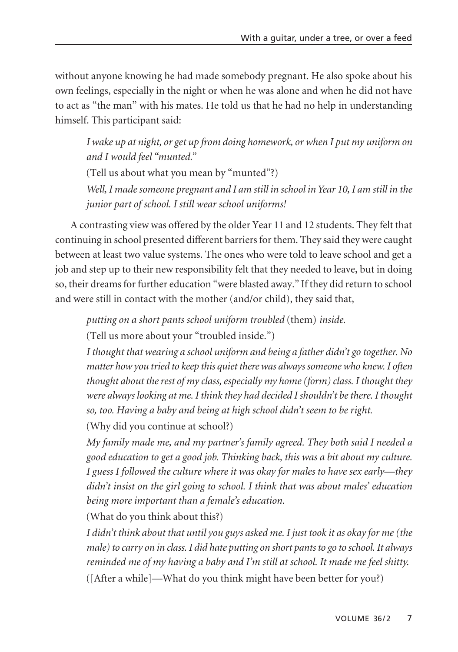without anyone knowing he had made somebody pregnant. He also spoke about his own feelings, especially in the night or when he was alone and when he did not have to act as "the man" with his mates. He told us that he had no help in understanding himself. This participant said:

*I wake up at night, or get up from doing homework, or when I put my uniform on and I would feel "munted."*

(Tell us about what you mean by "munted"?)

*Well, I made someone pregnant and I am still in school in Year 10, I am still in the junior part of school. I still wear school uniforms!* 

A contrasting view was offered by the older Year 11 and 12 students. They felt that continuing in school presented different barriers for them. They said they were caught between at least two value systems. The ones who were told to leave school and get a job and step up to their new responsibility felt that they needed to leave, but in doing so, their dreams for further education "were blasted away." If they did return to school and were still in contact with the mother (and/or child), they said that,

*putting on a short pants school uniform troubled* (them) *inside.*

(Tell us more about your "troubled inside.")

*I thought that wearing a school uniform and being a father didn't go together. No matter how you tried to keep this quiet there was always someone who knew. I often thought about the rest of my class, especially my home (form) class. I thought they were always looking at me. I think they had decided I shouldn't be there. I thought so, too. Having a baby and being at high school didn't seem to be right.*

(Why did you continue at school?)

*My family made me, and my partner's family agreed. They both said I needed a good education to get a good job. Thinking back, this was a bit about my culture. I guess I followed the culture where it was okay for males to have sex early—they didn't insist on the girl going to school. I think that was about males' education being more important than a female's education.*

(What do you think about this?)

*I didn't think about that until you guys asked me. I just took it as okay for me (the male) to carry on in class. I did hate putting on short pants to go to school. It always reminded me of my having a baby and I'm still at school. It made me feel shitty.* ([After a while]—What do you think might have been better for you?)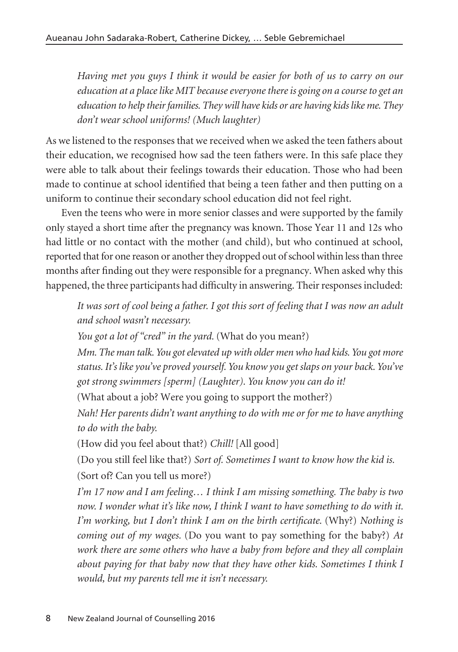*Having met you guys I think it would be easier for both of us to carry on our education at a place like MIT because everyone there is going on a course to get an education to help their families. They will have kids or are having kids like me. They don't wear school uniforms! (Much laughter)*

As we listened to the responses that we received when we asked the teen fathers about their education, we recognised how sad the teen fathers were. In this safe place they were able to talk about their feelings towards their education. Those who had been made to continue at school identified that being a teen father and then putting on a uniform to continue their secondary school education did not feel right.

Even the teens who were in more senior classes and were supported by the family only stayed a short time after the pregnancy was known. Those Year 11 and 12s who had little or no contact with the mother (and child), but who continued at school, reported that for one reason or another they dropped out of school within less than three months after finding out they were responsible for a pregnancy. When asked why this happened, the three participants had difficulty in answering. Their responses included:

*It was sort of cool being a father. I got this sort of feeling that I was now an adult and school wasn't necessary.*

*You got a lot of "cred" in the yard.* (What do you mean?)

*Mm. The man talk. You got elevated up with older men who had kids. You got more status. It's like you've proved yourself. You know you get slaps on your back. You've got strong swimmers [sperm] (Laughter). You know you can do it!*

(What about a job? Were you going to support the mother?)

*Nah! Her parents didn't want anything to do with me or for me to have anything to do with the baby.*

(How did you feel about that?) *Chill!* [All good]

(Do you still feel like that?) *Sort of. Sometimes I want to know how the kid is.* (Sort of? Can you tell us more?)

*I'm 17 now and I am feeling… I think I am missing something. The baby is two now. I wonder what it's like now, I think I want to have something to do with it. I'm working, but I don't think I am on the birth certificate.* (Why?) *Nothing is coming out of my wages.* (Do you want to pay something for the baby?) *At work there are some others who have a baby from before and they all complain about paying for that baby now that they have other kids. Sometimes I think I would, but my parents tell me it isn't necessary.*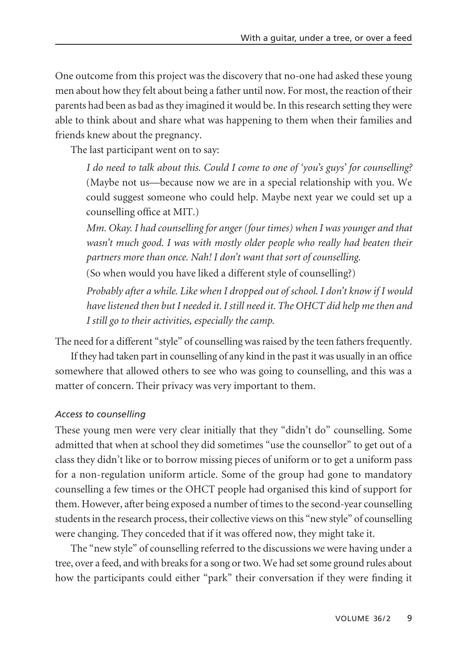One outcome from this project was the discovery that no-one had asked these young men about how they felt about being a father until now. For most, the reaction of their parents had been as bad as they imagined it would be. In this research setting they were able to think about and share what was happening to them when their families and friends knew about the pregnancy.

The last participant went on to say:

*I do need to talk about this. Could I come to one of 'you's guys' for counselling?* (Maybe not us—because now we are in a special relationship with you. We could suggest someone who could help. Maybe next year we could set up a coun selling office at MIT.)

*Mm. Okay. I had counselling for anger (four times) when I was younger and that wasn't much good. I was with mostly older people who really had beaten their partners more than once. Nah! I don't want that sort of counselling.* 

(So when would you have liked a different style of counselling?)

*Probably after a while. Like when I dropped out of school. I don't know if I would have listened then but I needed it. I still need it. The OHCT did help me then and I still go to their activities, especially the camp.* 

The need for a different "style" of counselling was raised by the teen fathers frequently.

If they had taken part in counselling of any kind in the past it was usually in an office somewhere that allowed others to see who was going to counselling, and this was a matter of concern. Their privacy was very important to them.

#### *Access to counselling*

These young men were very clear initially that they "didn't do" counselling. Some admitted that when at school they did sometimes "use the counsellor" to get out of a class they didn't like or to borrow missing pieces of uniform or to get a uniform pass for a non-regulation uniform article. Some of the group had gone to mandatory counselling a few times or the OHCT people had organised this kind of support for them. However, after being exposed a number of times to the second-year counselling students in the research process, their collective views on this "new style" of counselling were changing. They conceded that if it was offered now, they might take it.

The "new style" of counselling referred to the discussions we were having under a tree, over a feed, and with breaks for a song or two. We had set some ground rules about how the participants could either "park" their conversation if they were finding it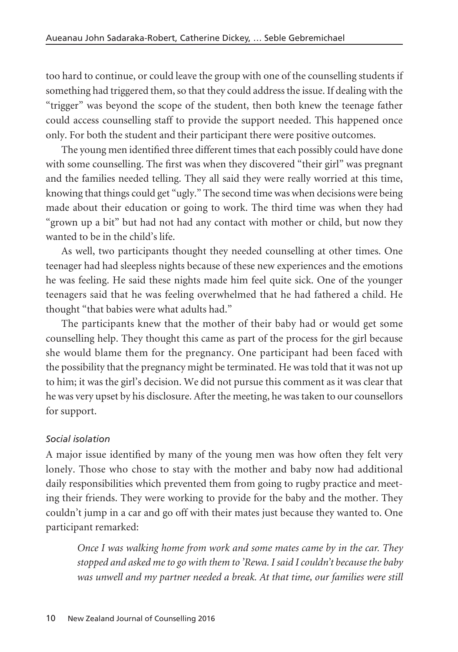too hard to continue, or could leave the group with one of the counselling students if something had triggered them, so that they could address the issue. If dealing with the "trigger" was beyond the scope of the student, then both knew the teenage father could access counselling staff to provide the support needed. This happened once only. For both the student and their participant there were positive outcomes.

The young men identified three different times that each possibly could have done with some counselling. The first was when they discovered "their girl" was pregnant and the families needed telling. They all said they were really worried at this time, knowing that things could get "ugly." The second time was when decisions were being made about their education or going to work. The third time was when they had "grown up a bit" but had not had any contact with mother or child, but now they wanted to be in the child's life.

As well, two participants thought they needed counselling at other times. One teenager had had sleepless nights because of these new experiences and the emotions he was feeling. He said these nights made him feel quite sick. One of the younger teenagers said that he was feeling overwhelmed that he had fathered a child. He thought "that babies were what adults had."

The participants knew that the mother of their baby had or would get some counselling help. They thought this came as part of the process for the girl because she would blame them for the pregnancy. One participant had been faced with the possibility that the pregnancy might be terminated. He was told that it was not up to him; it was the girl's decision. We did not pursue this comment as it was clear that he was very upset by his disclosure. After the meeting, he was taken to our counsellors for support.

#### *Social isolation*

A major issue identified by many of the young men was how often they felt very lonely. Those who chose to stay with the mother and baby now had additional daily responsibilities which prevented them from going to rugby practice and meet ing their friends. They were working to provide for the baby and the mother. They couldn't jump in a car and go off with their mates just because they wanted to. One participant remarked:

*Once I was walking home from work and some mates came by in the car. They stopped and asked me to go with them to 'Rewa. I said I couldn't because the baby was unwell and my partner needed a break. At that time, our families were still*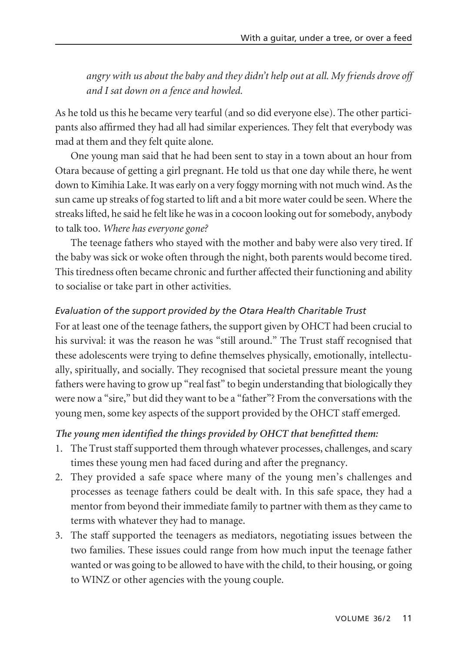*angry with us about the baby and they didn't help out at all. My friends drove off and I sat down on a fence and howled.* 

As he told us this he became very tearful (and so did everyone else). The other participants also affirmed they had all had similar experiences. They felt that everybody was mad at them and they felt quite alone.

One young man said that he had been sent to stay in a town about an hour from Otara because of getting a girl pregnant. He told us that one day while there, he went down to Kimihia Lake. It was early on a very foggy morning with not much wind. As the sun came up streaks of fog started to lift and a bit more water could be seen. Where the streaks lifted, he said he felt like he was in a cocoon looking out for somebody, anybody to talk too. *Where has everyone gone?*

The teenage fathers who stayed with the mother and baby were also very tired. If the baby was sick or woke often through the night, both parents would become tired. This tiredness often became chronic and further affected their functioning and ability to socialise or take part in other activities.

### *Evaluation of the support provided by the Otara Health Charitable Trust*

For at least one of the teenage fathers, the support given by OHCT had been crucial to his survival: it was the reason he was "still around." The Trust staff recognised that these adolescents were trying to define themselves physically, emotionally, intellectually, spiritually, and socially. They recognised that societal pressure meant the young fathers were having to grow up "real fast" to begin understanding that biologically they were now a "sire," but did they want to be a "father"? From the conversations with the young men, some key aspects of the support provided by the OHCT staff emerged.

#### *The young men identified the things provided by OHCT that benefitted them:*

- 1. The Trust staff supported them through whatever processes, challenges, and scary times these young men had faced during and after the pregnancy.
- 2. They provided a safe space where many of the young men's challenges and processes as teenage fathers could be dealt with. In this safe space, they had a mentor from beyond their immediate family to partner with them as they came to terms with whatever they had to manage.
- 3. The staff supported the teenagers as mediators, negotiating issues between the two families. These issues could range from how much input the teenage father wanted or was going to be allowed to have with the child, to their housing, or going to WINZ or other agencies with the young couple.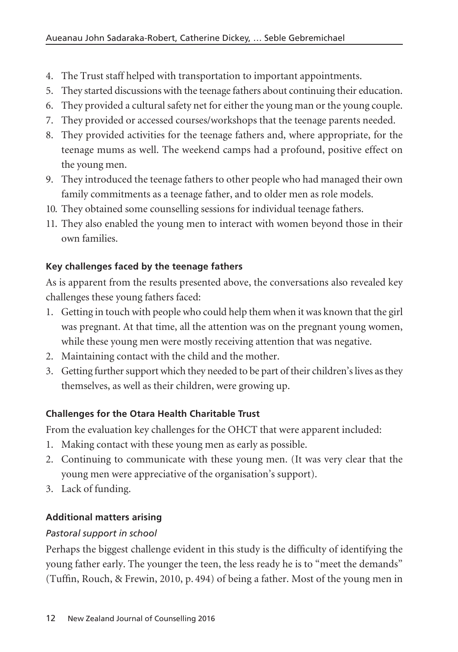- 4. The Trust staff helped with transportation to important appointments.
- 5. They started discussions with the teenage fathers about continuing their education.
- 6. They provided a cultural safety net for either the young man or the young couple.
- 7. They provided or accessed courses/workshops that the teenage parents needed.
- 8. They provided activities for the teenage fathers and, where appropriate, for the teenage mums as well. The weekend camps had a profound, positive effect on the young men.
- 9. They introduced the teenage fathers to other people who had managed their own family commitments as a teenage father, and to older men as role models.
- 10. They obtained some counselling sessions for individual teenage fathers.
- 11. They also enabled the young men to interact with women beyond those in their own families.

# **Key challenges faced by the teenage fathers**

As is apparent from the results presented above, the conversations also revealed key challenges these young fathers faced:

- 1. Getting in touch with people who could help them when it was known that the girl was pregnant. At that time, all the attention was on the pregnant young women, while these young men were mostly receiving attention that was negative.
- 2. Maintaining contact with the child and the mother.
- 3. Getting further support which they needed to be part of their children's lives as they themselves, as well as their children, were growing up.

# **Challenges for the Otara Health Charitable Trust**

From the evaluation key challenges for the OHCT that were apparent included:

- 1. Making contact with these young men as early as possible.
- 2. Continuing to communicate with these young men. (It was very clear that the young men were appreciative of the organisation's support).
- 3. Lack of funding.

# **Additional matters arising**

# *Pastoral support in school*

Perhaps the biggest challenge evident in this study is the difficulty of identifying the young father early. The younger the teen, the less ready he is to "meet the demands" (Tuffin, Rouch, & Frewin, 2010, p. 494) of being a father. Most of the young men in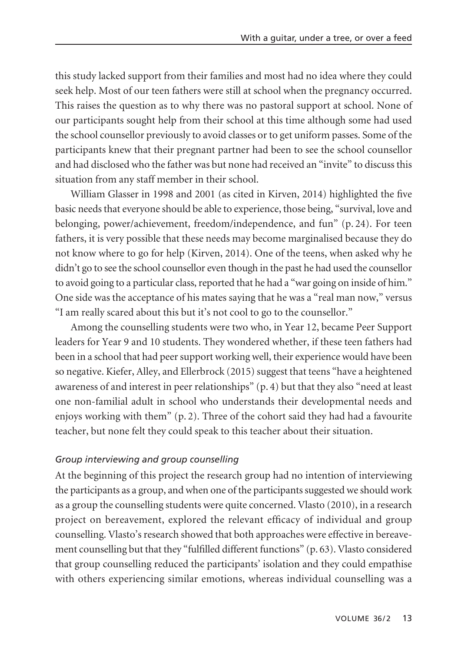this study lacked support from their families and most had no idea where they could seek help. Most of our teen fathers were still at school when the pregnancy occurred. This raises the question as to why there was no pastoral support at school. None of our participants sought help from their school at this time although some had used the school counsellor previously to avoid classes or to get uniform passes. Some of the participants knew that their pregnant partner had been to see the school counsellor and had disclosed who the father was but none had received an "invite" to discuss this situation from any staff member in their school.

William Glasser in 1998 and 2001 (as cited in Kirven, 2014) highlighted the five basic needs that everyone should be able to experience, those being, "survival, love and belonging, power/achievement, freedom/independence, and fun" (p. 24). For teen fathers, it is very possible that these needs may become marginalised because they do not know where to go for help (Kirven, 2014). One of the teens, when asked why he didn't go to see the school counsellor even though in the past he had used the counsellor to avoid going to a particular class, reported that he had a "war going on inside of him." One side was the acceptance of his mates saying that he was a "real man now," versus "I am really scared about this but it's not cool to go to the counsellor."

Among the counselling students were two who, in Year 12, became Peer Support leaders for Year 9 and 10 students. They wondered whether, if these teen fathers had been in a school that had peer support working well, their experience would have been so negative. Kiefer, Alley, and Ellerbrock (2015) suggest that teens "have a heightened awareness of and interest in peer relationships" (p. 4) but that they also "need at least one non-familial adult in school who understands their developmental needs and enjoys working with them" (p. 2). Three of the cohort said they had had a favourite teacher, but none felt they could speak to this teacher about their situation.

#### *Group interviewing and group counselling*

At the beginning of this project the research group had no intention of interviewing the participants as a group, and when one of the participants suggested we should work as a group the counselling students were quite concerned. Vlasto (2010), in a research project on bereavement, explored the relevant efficacy of individual and group counselling. Vlasto's research showed that both approaches were effective in bereave ment counselling but that they "fulfilled different functions" (p. 63). Vlasto considered that group counselling reduced the participants' isolation and they could empathise with others experiencing similar emotions, whereas individual counselling was a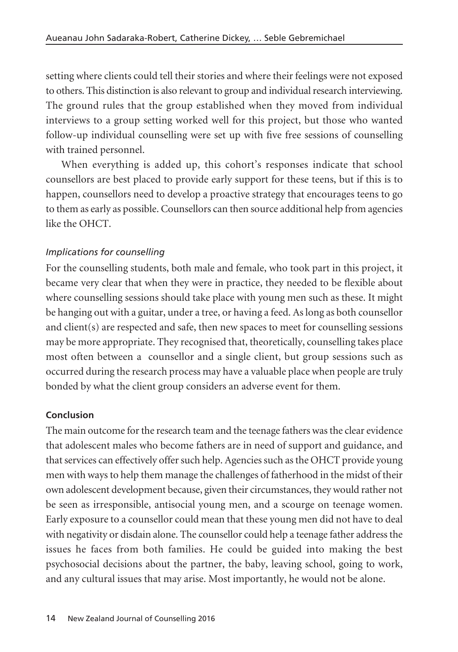setting where clients could tell their stories and where their feelings were not exposed to others. This distinction is also relevant to group and individual research interviewing. The ground rules that the group established when they moved from individual interviews to a group setting worked well for this project, but those who wanted follow-up individual counselling were set up with five free sessions of counselling with trained personnel.

When everything is added up, this cohort's responses indicate that school counsellors are best placed to provide early support for these teens, but if this is to happen, counsellors need to develop a proactive strategy that encourages teens to go to them as early as possible. Counsellors can then source additional help from agencies like the OHCT.

## *Implications for counselling*

For the counselling students, both male and female, who took part in this project, it became very clear that when they were in practice, they needed to be flexible about where counselling sessions should take place with young men such as these. It might be hanging out with a guitar, under a tree, or having a feed. As long as both counsellor and client(s) are respected and safe, then new spaces to meet for counselling sessions may be more appropriate. They recognised that, theoretically, counselling takes place most often between a counsellor and a single client, but group sessions such as occurred during the research process may have a valuable place when people are truly bonded by what the client group considers an adverse event for them.

# **Conclusion**

The main outcome for the research team and the teenage fathers was the clear evidence that adolescent males who become fathers are in need of support and guidance, and that services can effectively offer such help. Agencies such as the OHCT provide young men with ways to help them manage the challenges of fatherhood in the midst of their own adolescent development because, given their circumstances, they would rather not be seen as irresponsible, antisocial young men, and a scourge on teenage women. Early exposure to a counsellor could mean that these young men did not have to deal with negativity or disdain alone. The counsellor could help a teenage father address the issues he faces from both families. He could be guided into making the best psychosocial decisions about the partner, the baby, leaving school, going to work, and any cultural issues that may arise. Most importantly, he would not be alone.